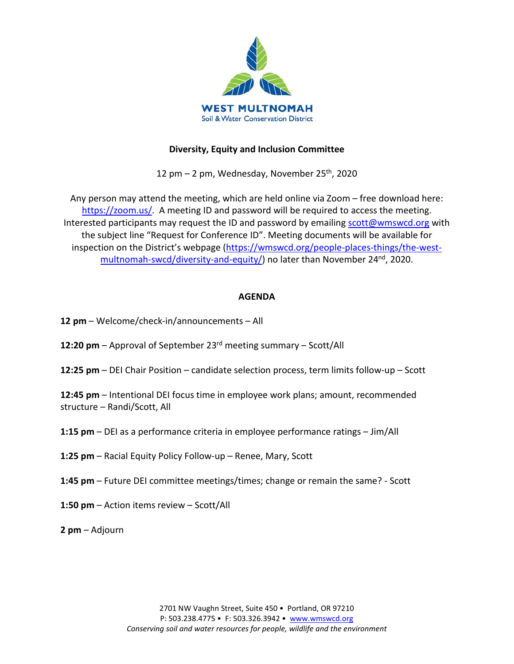

### **Diversity, Equity and Inclusion Committee**

12 pm  $-$  2 pm, Wednesday, November 25<sup>th</sup>, 2020

Any person may attend the meeting, which are held online via Zoom – free download here: [https://zoom.us/.](https://zoom.us/) A meeting ID and password will be required to access the meeting. Interested participants may request the ID and password by emailing [scott@wmswcd.org](mailto:scott@wmswcd.org) with the subject line "Request for Conference ID". Meeting documents will be available for inspection on the District's webpage [\(https://wmswcd.org/people-places-things/the-west](https://wmswcd.org/people-places-things/the-west-multnomah-swcd/diversity-and-equity/)[multnomah-swcd/diversity-and-equity/\)](https://wmswcd.org/people-places-things/the-west-multnomah-swcd/diversity-and-equity/) no later than November 24<sup>nd</sup>, 2020.

## **AGENDA**

- **12 pm**  Welcome/check-in/announcements All
- **12:20 pm** Approval of September 23rd meeting summary Scott/All
- **12:25 pm** DEI Chair Position candidate selection process, term limits follow-up Scott

**12:45 pm** – Intentional DEI focus time in employee work plans; amount, recommended structure – Randi/Scott, All

- **1:15 pm** DEI as a performance criteria in employee performance ratings Jim/All
- **1:25 pm**  Racial Equity Policy Follow-up Renee, Mary, Scott
- **1:45 pm** Future DEI committee meetings/times; change or remain the same? Scott
- **1:50 pm**  Action items review Scott/All

**2 pm** – Adjourn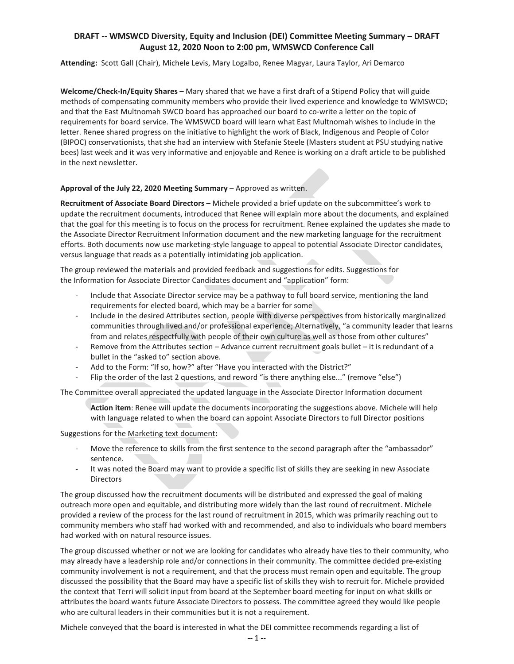### **DRAFT -- WMSWCD Diversity, Equity and Inclusion (DEI) Committee Meeting Summary – DRAFT August 12, 2020 Noon to 2:00 pm, WMSWCD Conference Call**

**Attending:** Scott Gall (Chair), Michele Levis, Mary Logalbo, Renee Magyar, Laura Taylor, Ari Demarco

**Welcome/Check-In/Equity Shares –** Mary shared that we have a first draft of a Stipend Policy that will guide methods of compensating community members who provide their lived experience and knowledge to WMSWCD; and that the East Multnomah SWCD board has approached our board to co-write a letter on the topic of requirements for board service. The WMSWCD board will learn what East Multnomah wishes to include in the letter. Renee shared progress on the initiative to highlight the work of Black, Indigenous and People of Color (BIPOC) conservationists, that she had an interview with Stefanie Steele (Masters student at PSU studying native bees) last week and it was very informative and enjoyable and Renee is working on a draft article to be published in the next newsletter.

### **Approval of the July 22, 2020 Meeting Summary** – Approved as written.

**Recruitment of Associate Board Directors –** Michele provided a brief update on the subcommittee's work to update the recruitment documents, introduced that Renee will explain more about the documents, and explained that the goal for this meeting is to focus on the process for recruitment. Renee explained the updates she made to the Associate Director Recruitment Information document and the new marketing language for the recruitment efforts. Both documents now use marketing-style language to appeal to potential Associate Director candidates, versus language that reads as a potentially intimidating job application.

The group reviewed the materials and provided feedback and suggestions for edits. Suggestions for the Information for Associate Director Candidates document and "application" form:

- Include that Associate Director service may be a pathway to full board service, mentioning the land requirements for elected board, which may be a barrier for some
- Include in the desired Attributes section, people with diverse perspectives from historically marginalized communities through lived and/or professional experience; Alternatively, "a community leader that learns from and relates respectfully with people of their own culture as well as those from other cultures"
- Remove from the Attributes section Advance current recruitment goals bullet it is redundant of a bullet in the "asked to" section above.
- Add to the Form: "If so, how?" after "Have you interacted with the District?"
- Flip the order of the last 2 questions, and reword "is there anything else..." (remove "else")

The Committee overall appreciated the updated language in the Associate Director Information document

**Action item**: Renee will update the documents incorporating the suggestions above. Michele will help with language related to when the board can appoint Associate Directors to full Director positions

Suggestions for the Marketing text document**:**

- Move the reference to skills from the first sentence to the second paragraph after the "ambassador" sentence.
- It was noted the Board may want to provide a specific list of skills they are seeking in new Associate Directors

The group discussed how the recruitment documents will be distributed and expressed the goal of making outreach more open and equitable, and distributing more widely than the last round of recruitment. Michele provided a review of the process for the last round of recruitment in 2015, which was primarily reaching out to community members who staff had worked with and recommended, and also to individuals who board members had worked with on natural resource issues.

The group discussed whether or not we are looking for candidates who already have ties to their community, who may already have a leadership role and/or connections in their community. The committee decided pre-existing community involvement is not a requirement, and that the process must remain open and equitable. The group discussed the possibility that the Board may have a specific list of skills they wish to recruit for. Michele provided the context that Terri will solicit input from board at the September board meeting for input on what skills or attributes the board wants future Associate Directors to possess. The committee agreed they would like people who are cultural leaders in their communities but it is not a requirement.

Michele conveyed that the board is interested in what the DEI committee recommends regarding a list of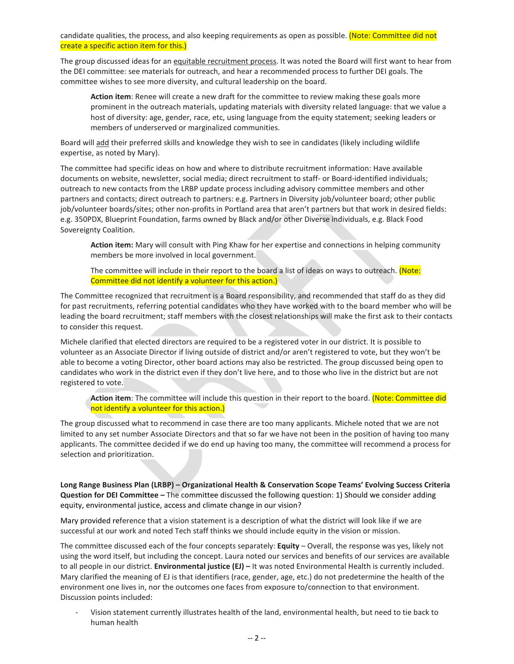candidate qualities, the process, and also keeping requirements as open as possible. (Note: Committee did not create a specific action item for this.)

The group discussed ideas for an equitable recruitment process. It was noted the Board will first want to hear from the DEI committee: see materials for outreach, and hear a recommended process to further DEI goals. The committee wishes to see more diversity, and cultural leadership on the board.

**Action item**: Renee will create a new draft for the committee to review making these goals more prominent in the outreach materials, updating materials with diversity related language: that we value a host of diversity: age, gender, race, etc, using language from the equity statement; seeking leaders or members of underserved or marginalized communities.

Board will add their preferred skills and knowledge they wish to see in candidates (likely including wildlife expertise, as noted by Mary).

The committee had specific ideas on how and where to distribute recruitment information: Have available documents on website, newsletter, social media; direct recruitment to staff- or Board-identified individuals; outreach to new contacts from the LRBP update process including advisory committee members and other partners and contacts; direct outreach to partners: e.g. Partners in Diversity job/volunteer board; other public job/volunteer boards/sites; other non-profits in Portland area that aren't partners but that work in desired fields: e.g. 350PDX, Blueprint Foundation, farms owned by Black and/or other Diverse individuals, e.g. Black Food Sovereignty Coalition.

**Action item:** Mary will consult with Ping Khaw for her expertise and connections in helping community members be more involved in local government.

The committee will include in their report to the board a list of ideas on ways to outreach. (Note: Committee did not identify a volunteer for this action.)

The Committee recognized that recruitment is a Board responsibility, and recommended that staff do as they did for past recruitments, referring potential candidates who they have worked with to the board member who will be leading the board recruitment; staff members with the closest relationships will make the first ask to their contacts to consider this request.

Michele clarified that elected directors are required to be a registered voter in our district. It is possible to volunteer as an Associate Director if living outside of district and/or aren't registered to vote, but they won't be able to become a voting Director, other board actions may also be restricted. The group discussed being open to candidates who work in the district even if they don't live here, and to those who live in the district but are not registered to vote.

**Action item**: The committee will include this question in their report to the board. (Note: Committee did not identify a volunteer for this action.)

The group discussed what to recommend in case there are too many applicants. Michele noted that we are not limited to any set number Associate Directors and that so far we have not been in the position of having too many applicants. The committee decided if we do end up having too many, the committee will recommend a process for selection and prioritization.

**Long Range Business Plan (LRBP) – Organizational Health & Conservation Scope Teams' Evolving Success Criteria Question for DEI Committee –** The committee discussed the following question: 1) Should we consider adding equity, environmental justice, access and climate change in our vision?

Mary provided reference that a vision statement is a description of what the district will look like if we are successful at our work and noted Tech staff thinks we should include equity in the vision or mission.

The committee discussed each of the four concepts separately: **Equity** – Overall, the response was yes, likely not using the word itself, but including the concept. Laura noted our services and benefits of our services are available to all people in our district. **Environmental justice (EJ) –** It was noted Environmental Health is currently included. Mary clarified the meaning of EJ is that identifiers (race, gender, age, etc.) do not predetermine the health of the environment one lives in, nor the outcomes one faces from exposure to/connection to that environment. Discussion points included:

- Vision statement currently illustrates health of the land, environmental health, but need to tie back to human health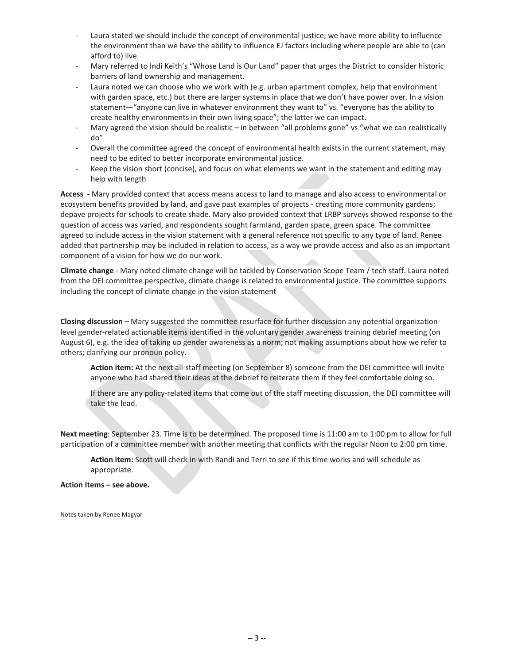- Laura stated we should include the concept of environmental justice; we have more ability to influence the environment than we have the ability to influence EJ factors including where people are able to (can afford to) live
- Mary referred to Indi Keith's "Whose Land is Our Land" paper that urges the District to consider historic barriers of land ownership and management.
- Laura noted we can choose who we work with (e.g. urban apartment complex, help that environment with garden space, etc.) but there are larger systems in place that we don't have power over. In a vision statement—"anyone can live in whatever environment they want to" vs. "everyone has the ability to create healthy environments in their own living space"; the latter we can impact.
- Mary agreed the vision should be realistic in between "all problems gone" vs "what we can realistically do"
- Overall the committee agreed the concept of environmental health exists in the current statement, may need to be edited to better incorporate environmental justice.
- Keep the vision short (concise), and focus on what elements we want in the statement and editing may help with length

**Access -** Mary provided context that access means access to land to manage and also access to environmental or ecosystem benefits provided by land, and gave past examples of projects - creating more community gardens; depave projects for schools to create shade. Mary also provided context that LRBP surveys showed response to the question of access was varied, and respondents sought farmland, garden space, green space. The committee agreed to include access in the vision statement with a general reference not specific to any type of land. Renee added that partnership may be included in relation to access, as a way we provide access and also as an important component of a vision for how we do our work.

**Climate change** - Mary noted climate change will be tackled by Conservation Scope Team / tech staff. Laura noted from the DEI committee perspective, climate change is related to environmental justice. The committee supports including the concept of climate change in the vision statement

**Closing discussion** – Mary suggested the committee resurface for further discussion any potential organizationlevel gender-related actionable items identified in the voluntary gender awareness training debrief meeting (on August 6), e.g. the idea of taking up gender awareness as a norm; not making assumptions about how we refer to others; clarifying our pronoun policy.

**Action item:** At the next all-staff meeting (on September 8) someone from the DEI committee will invite anyone who had shared their ideas at the debrief to reiterate them if they feel comfortable doing so.

If there are any policy-related items that come out of the staff meeting discussion, the DEI committee will take the lead.

**Next meeting**: September 23. Time is to be determined. The proposed time is 11:00 am to 1:00 pm to allow for full participation of a committee member with another meeting that conflicts with the regular Noon to 2:00 pm time.

**Action item:** Scott will check in with Randi and Terri to see if this time works and will schedule as appropriate.

**Action Items – see above.** 

Notes taken by Renee Magyar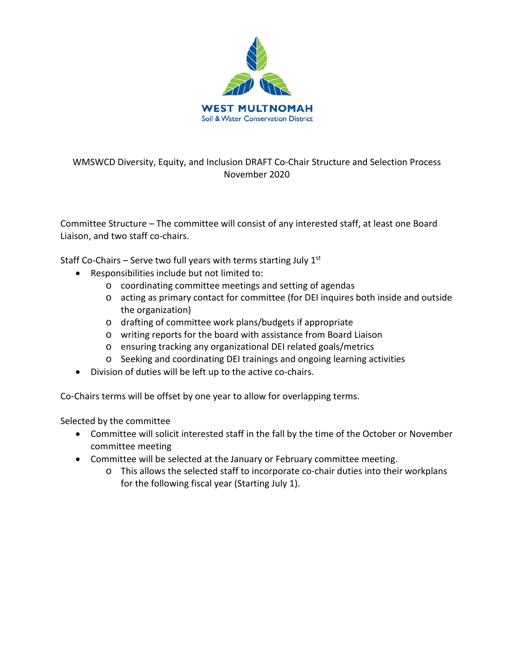

# WMSWCD Diversity, Equity, and Inclusion DRAFT Co-Chair Structure and Selection Process November 2020

Committee Structure – The committee will consist of any interested staff, at least one Board Liaison, and two staff co-chairs.

Staff Co-Chairs – Serve two full years with terms starting July  $1<sup>st</sup>$ 

- Responsibilities include but not limited to:
	- o coordinating committee meetings and setting of agendas
	- o acting as primary contact for committee (for DEI inquires both inside and outside the organization)
	- o drafting of committee work plans/budgets if appropriate
	- o writing reports for the board with assistance from Board Liaison
	- o ensuring tracking any organizational DEI related goals/metrics
	- o Seeking and coordinating DEI trainings and ongoing learning activities
- Division of duties will be left up to the active co-chairs.

Co-Chairs terms will be offset by one year to allow for overlapping terms.

Selected by the committee

- Committee will solicit interested staff in the fall by the time of the October or November committee meeting
- Committee will be selected at the January or February committee meeting.
	- o This allows the selected staff to incorporate co-chair duties into their workplans for the following fiscal year (Starting July 1).